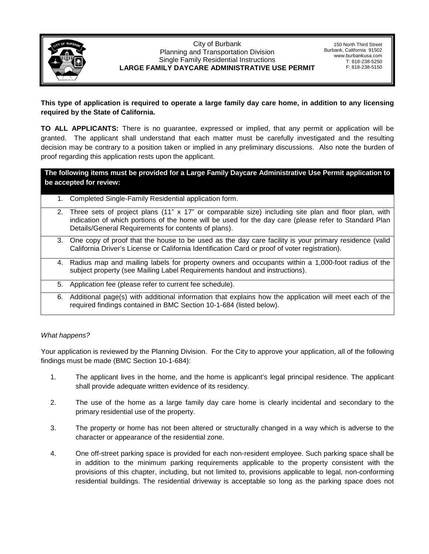

## City of Burbank Planning and Transportation Division Single Family Residential Instructions **LARGE FAMILY DAYCARE ADMINISTRATIVE USE PERMIT**

150 North Third Street Burbank, California 91502 www.burbankusa.com T: 818-238-5250 F: 818-238-5150

## **This type of application is required to operate a large family day care home, in addition to any licensing required by the State of California.**

**TO ALL APPLICANTS:** There is no guarantee, expressed or implied, that any permit or application will be granted. The applicant shall understand that each matter must be carefully investigated and the resulting decision may be contrary to a position taken or implied in any preliminary discussions. Also note the burden of proof regarding this application rests upon the applicant.

**The following items must be provided for a Large Family Daycare Administrative Use Permit application to be accepted for review:**

- 1. Completed Single-Family Residential application form.
- 2. Three sets of project plans (11" x 17" or comparable size) including site plan and floor plan, with indication of which portions of the home will be used for the day care (please refer to Standard Plan Details/General Requirements for contents of plans).
- 3. One copy of proof that the house to be used as the day care facility is your primary residence (valid California Driver's License or California Identification Card or proof of voter registration).
- 4. Radius map and mailing labels for property owners and occupants within a 1,000-foot radius of the subject property (see Mailing Label Requirements handout and instructions).
- 5. Application fee (please refer to current fee schedule).
- 6. Additional page(s) with additional information that explains how the application will meet each of the required findings contained in BMC Section 10-1-684 (listed below).

## *What happens?*

Your application is reviewed by the Planning Division. For the City to approve your application, all of the following findings must be made (BMC Section 10-1-684):

- 1. The applicant lives in the home, and the home is applicant's legal principal residence. The applicant shall provide adequate written evidence of its residency.
- 2. The use of the home as a large family day care home is clearly incidental and secondary to the primary residential use of the property.
- 3. The property or home has not been altered or structurally changed in a way which is adverse to the character or appearance of the residential zone.
- 4. One off-street parking space is provided for each non-resident employee. Such parking space shall be in addition to the minimum parking requirements applicable to the property consistent with the provisions of this chapter, including, but not limited to, provisions applicable to legal, non-conforming residential buildings. The residential driveway is acceptable so long as the parking space does not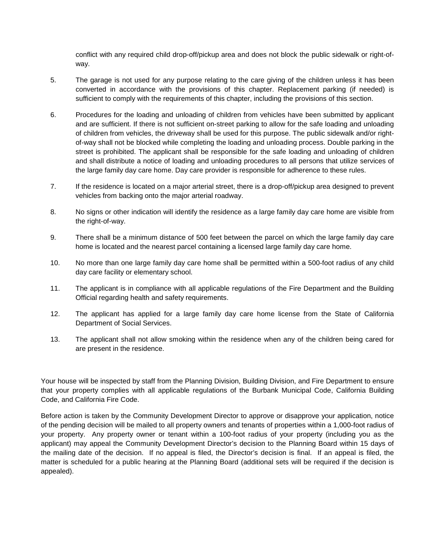conflict with any required child drop-off/pickup area and does not block the public sidewalk or right-ofway.

- 5. The garage is not used for any purpose relating to the care giving of the children unless it has been converted in accordance with the provisions of this chapter. Replacement parking (if needed) is sufficient to comply with the requirements of this chapter, including the provisions of this section.
- 6. Procedures for the loading and unloading of children from vehicles have been submitted by applicant and are sufficient. If there is not sufficient on-street parking to allow for the safe loading and unloading of children from vehicles, the driveway shall be used for this purpose. The public sidewalk and/or rightof-way shall not be blocked while completing the loading and unloading process. Double parking in the street is prohibited. The applicant shall be responsible for the safe loading and unloading of children and shall distribute a notice of loading and unloading procedures to all persons that utilize services of the large family day care home. Day care provider is responsible for adherence to these rules.
- 7. If the residence is located on a major arterial street, there is a drop-off/pickup area designed to prevent vehicles from backing onto the major arterial roadway.
- 8. No signs or other indication will identify the residence as a large family day care home are visible from the right-of-way.
- 9. There shall be a minimum distance of 500 feet between the parcel on which the large family day care home is located and the nearest parcel containing a licensed large family day care home.
- 10. No more than one large family day care home shall be permitted within a 500-foot radius of any child day care facility or elementary school.
- 11. The applicant is in compliance with all applicable regulations of the Fire Department and the Building Official regarding health and safety requirements.
- 12. The applicant has applied for a large family day care home license from the State of California Department of Social Services.
- 13. The applicant shall not allow smoking within the residence when any of the children being cared for are present in the residence.

Your house will be inspected by staff from the Planning Division, Building Division, and Fire Department to ensure that your property complies with all applicable regulations of the Burbank Municipal Code, California Building Code, and California Fire Code.

Before action is taken by the Community Development Director to approve or disapprove your application, notice of the pending decision will be mailed to all property owners and tenants of properties within a 1,000-foot radius of your property. Any property owner or tenant within a 100-foot radius of your property (including you as the applicant) may appeal the Community Development Director's decision to the Planning Board within 15 days of the mailing date of the decision. If no appeal is filed, the Director's decision is final. If an appeal is filed, the matter is scheduled for a public hearing at the Planning Board (additional sets will be required if the decision is appealed).